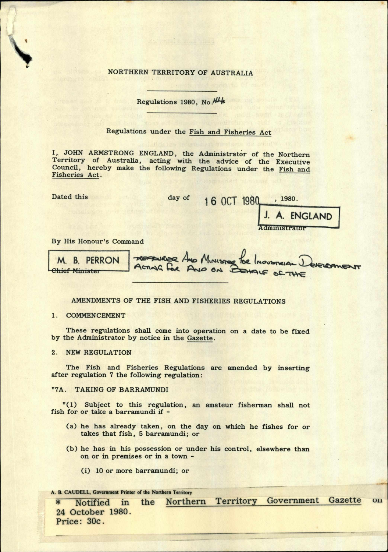NORTHERN TERRITORY OF AUSTRALIA

Regulations 1980, No.

# Regulations under the Fish and Fisheries Act

I, JOHN ARMSTRONG ENGLAND, the Administrator of the Northern Territory of Australia, acting with the advice of the Executive Council, hereby make the following Regulations under the Fish and Fisheries Act.

Dated this day of

s*y*

, 1980. 16 OCT 1980

**ENGLAND** 

By His Honour's Command

MORER AND MINISTER M. B. PERRON ACTING FOR AND ON <del>Chief Ministe</del>

## AMENDMENTS OF THE FISH AND FISHERIES REGULATIONS

### 1. COMMENCEMENT

These regulations shall come into operation on a date to be fixed by the Administrator by notice in the Gazette.

2. NEW REGULATION

The Fish and Fisheries Regulations are amended by inserting after regulation 7 the following regulation:

### "7A. TAKING OF BARRAMUNDI

"(1) Subject to this regulation, an amateur fisherman shall not fish for or take a barramundi if -

- (a) he has already taken, on the day on which he fishes for or takes that fish, 5 barramundi; or
- (b) he has in his possession or under his control, elsewhere than on or in premises or in a town -
	- (i) 10 or more barramundi; or

#### A. B. CAUDELL, Government Printer of the Northern Territory

\* Notified in the Northern Territory Government Gazette on **24 October 1980. Price: 30c.**